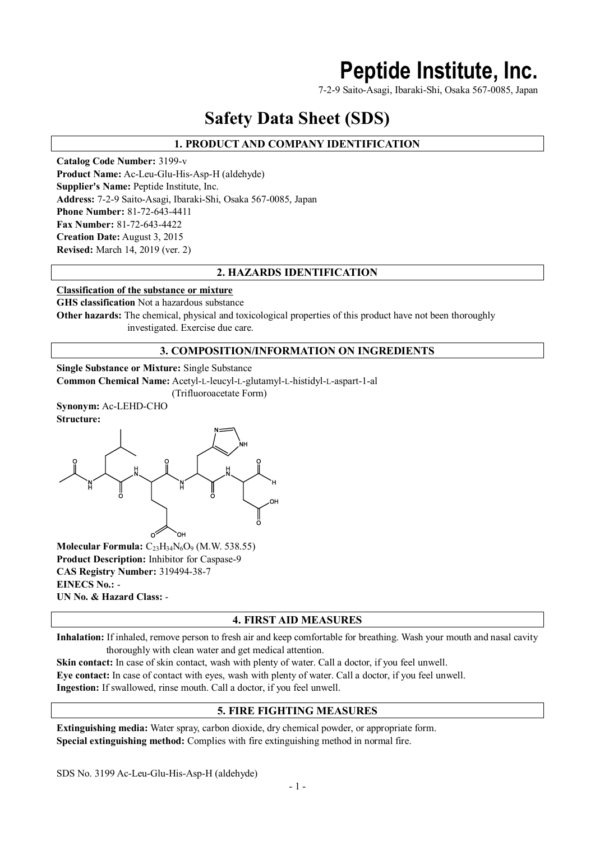# **Peptide Institute, Inc.**

7-2-9 Saito-Asagi, Ibaraki-Shi, Osaka 567-0085, Japan

# **Safety Data Sheet (SDS)**

# **1. PRODUCT AND COMPANY IDENTIFICATION**

**Catalog Code Number:** 3199-v **Product Name:** Ac-Leu-Glu-His-Asp-H (aldehyde) **Supplier's Name:** Peptide Institute, Inc. **Address:** 7-2-9 Saito-Asagi, Ibaraki-Shi, Osaka 567-0085, Japan **Phone Number:** 81-72-643-4411 **Fax Number:** 81-72-643-4422 **Creation Date:** August 3, 2015 **Revised:** March 14, 2019 (ver. 2)

### **2. HAZARDS IDENTIFICATION**

#### **Classification of the substance or mixture**

**GHS classification** Not a hazardous substance

**Other hazards:** The chemical, physical and toxicological properties of this product have not been thoroughly investigated. Exercise due care.

### **3. COMPOSITION/INFORMATION ON INGREDIENTS**

**Single Substance or Mixture:** Single Substance

**Common Chemical Name:** Acetyl-L-leucyl-L-glutamyl-L-histidyl-L-aspart-1-al

(Trifluoroacetate Form)

**Synonym:** Ac-LEHD-CHO



**Molecular Formula:** C23H34N6O<sup>9</sup> (M.W. 538.55) **Product Description:** Inhibitor for Caspase-9 **CAS Registry Number:** 319494-38-7 **EINECS No.:** - **UN No. & Hazard Class:** -

#### **4. FIRST AID MEASURES**

**Inhalation:** If inhaled, remove person to fresh air and keep comfortable for breathing. Wash your mouth and nasal cavity thoroughly with clean water and get medical attention.

**Skin contact:** In case of skin contact, wash with plenty of water. Call a doctor, if you feel unwell. **Eye contact:** In case of contact with eyes, wash with plenty of water. Call a doctor, if you feel unwell. **Ingestion:** If swallowed, rinse mouth. Call a doctor, if you feel unwell.

#### **5. FIRE FIGHTING MEASURES**

**Extinguishing media:** Water spray, carbon dioxide, dry chemical powder, or appropriate form. **Special extinguishing method:** Complies with fire extinguishing method in normal fire.

SDS No. 3199 Ac-Leu-Glu-His-Asp-H (aldehyde)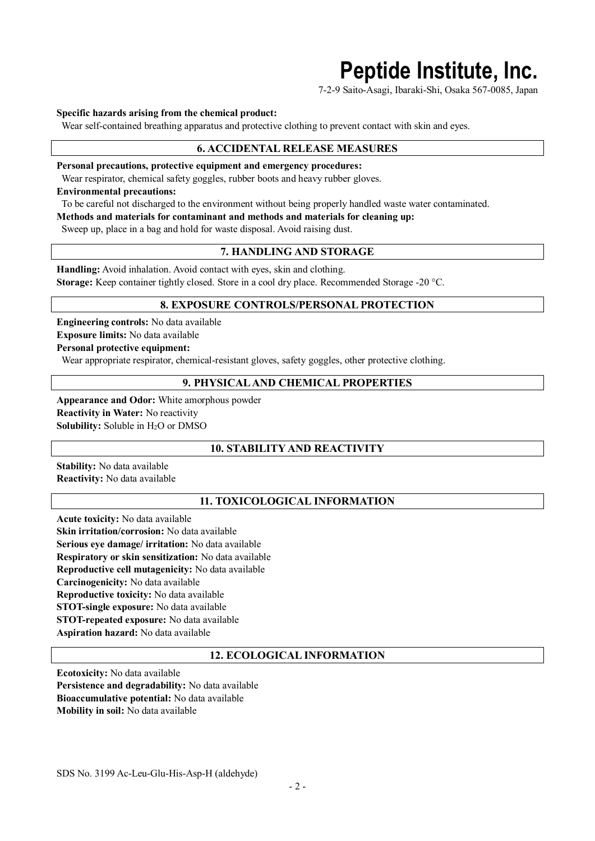# **Peptide Institute, Inc.**

7-2-9 Saito-Asagi, Ibaraki-Shi, Osaka 567-0085, Japan

#### **Specific hazards arising from the chemical product:**

Wear self-contained breathing apparatus and protective clothing to prevent contact with skin and eyes.

#### **6. ACCIDENTAL RELEASE MEASURES**

**Personal precautions, protective equipment and emergency procedures:**

Wear respirator, chemical safety goggles, rubber boots and heavy rubber gloves.

#### **Environmental precautions:**

To be careful not discharged to the environment without being properly handled waste water contaminated.

**Methods and materials for contaminant and methods and materials for cleaning up:**

Sweep up, place in a bag and hold for waste disposal. Avoid raising dust.

#### **7. HANDLING AND STORAGE**

**Handling:** Avoid inhalation. Avoid contact with eyes, skin and clothing. **Storage:** Keep container tightly closed. Store in a cool dry place. Recommended Storage -20 °C.

#### **8. EXPOSURE CONTROLS/PERSONAL PROTECTION**

**Engineering controls:** No data available **Exposure limits:** No data available **Personal protective equipment:**

Wear appropriate respirator, chemical-resistant gloves, safety goggles, other protective clothing.

### **9. PHYSICAL AND CHEMICAL PROPERTIES**

**Appearance and Odor:** White amorphous powder **Reactivity in Water:** No reactivity **Solubility:** Soluble in H<sub>2</sub>O or DMSO

#### **10. STABILITY AND REACTIVITY**

**Stability:** No data available **Reactivity:** No data available

#### **11. TOXICOLOGICAL INFORMATION**

**Acute toxicity:** No data available **Skin irritation/corrosion:** No data available **Serious eye damage/ irritation:** No data available **Respiratory or skin sensitization:** No data available **Reproductive cell mutagenicity:** No data available **Carcinogenicity:** No data available **Reproductive toxicity:** No data available **STOT-single exposure:** No data available **STOT-repeated exposure:** No data available **Aspiration hazard:** No data available

#### **12. ECOLOGICAL INFORMATION**

**Ecotoxicity:** No data available **Persistence and degradability:** No data available **Bioaccumulative potential:** No data available **Mobility in soil:** No data available